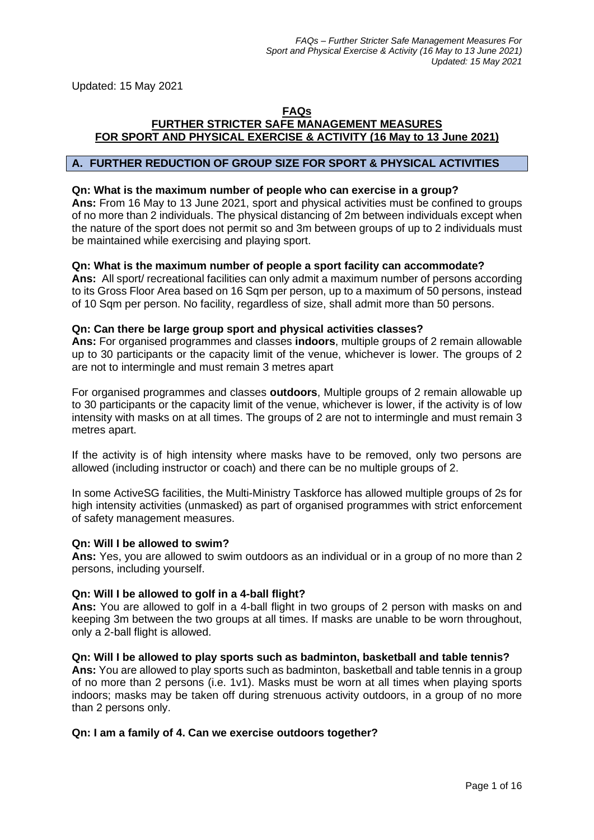Updated: 15 May 2021

### **FAQs FURTHER STRICTER SAFE MANAGEMENT MEASURES FOR SPORT AND PHYSICAL EXERCISE & ACTIVITY (16 May to 13 June 2021)**

# **A. FURTHER REDUCTION OF GROUP SIZE FOR SPORT & PHYSICAL ACTIVITIES**

#### **Qn: What is the maximum number of people who can exercise in a group?**

**Ans:** From 16 May to 13 June 2021, sport and physical activities must be confined to groups of no more than 2 individuals. The physical distancing of 2m between individuals except when the nature of the sport does not permit so and 3m between groups of up to 2 individuals must be maintained while exercising and playing sport.

### **Qn: What is the maximum number of people a sport facility can accommodate?**

**Ans:** All sport/ recreational facilities can only admit a maximum number of persons according to its Gross Floor Area based on 16 Sqm per person, up to a maximum of 50 persons, instead of 10 Sqm per person. No facility, regardless of size, shall admit more than 50 persons.

#### **Qn: Can there be large group sport and physical activities classes?**

**Ans:** For organised programmes and classes **indoors**, multiple groups of 2 remain allowable up to 30 participants or the capacity limit of the venue, whichever is lower. The groups of 2 are not to intermingle and must remain 3 metres apart

For organised programmes and classes **outdoors**, Multiple groups of 2 remain allowable up to 30 participants or the capacity limit of the venue, whichever is lower, if the activity is of low intensity with masks on at all times. The groups of 2 are not to intermingle and must remain 3 metres apart.

If the activity is of high intensity where masks have to be removed, only two persons are allowed (including instructor or coach) and there can be no multiple groups of 2.

In some ActiveSG facilities, the Multi-Ministry Taskforce has allowed multiple groups of 2s for high intensity activities (unmasked) as part of organised programmes with strict enforcement of safety management measures.

### **Qn: Will I be allowed to swim?**

**Ans:** Yes, you are allowed to swim outdoors as an individual or in a group of no more than 2 persons, including yourself.

### **Qn: Will I be allowed to golf in a 4-ball flight?**

Ans: You are allowed to golf in a 4-ball flight in two groups of 2 person with masks on and keeping 3m between the two groups at all times. If masks are unable to be worn throughout, only a 2-ball flight is allowed.

### **Qn: Will I be allowed to play sports such as badminton, basketball and table tennis?**

**Ans:** You are allowed to play sports such as badminton, basketball and table tennis in a group of no more than 2 persons (i.e. 1v1). Masks must be worn at all times when playing sports indoors; masks may be taken off during strenuous activity outdoors, in a group of no more than 2 persons only.

### **Qn: I am a family of 4. Can we exercise outdoors together?**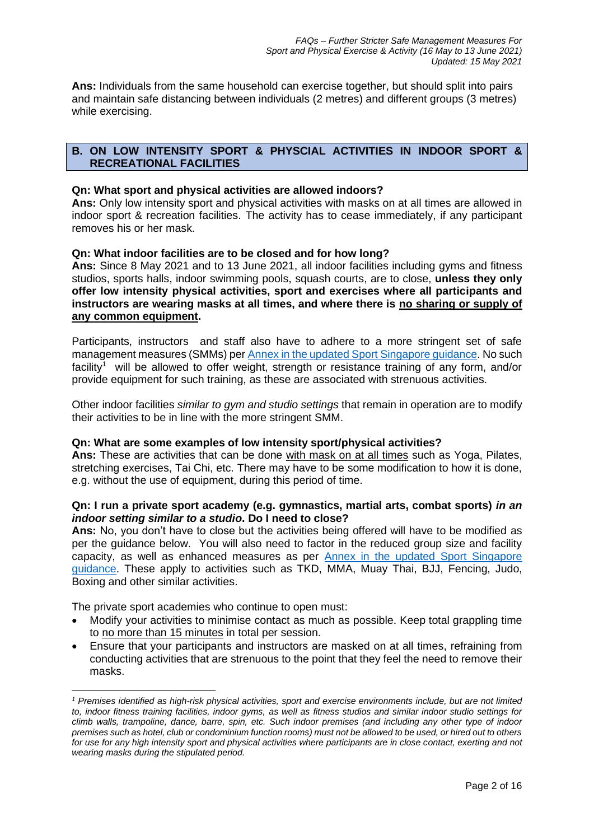**Ans:** Individuals from the same household can exercise together, but should split into pairs and maintain safe distancing between individuals (2 metres) and different groups (3 metres) while exercising.

# **B. ON LOW INTENSITY SPORT & PHYSCIAL ACTIVITIES IN INDOOR SPORT & RECREATIONAL FACILITIES**

### **Qn: What sport and physical activities are allowed indoors?**

**Ans:** Only low intensity sport and physical activities with masks on at all times are allowed in indoor sport & recreation facilities. The activity has to cease immediately, if any participant removes his or her mask.

# **Qn: What indoor facilities are to be closed and for how long?**

**Ans:** Since 8 May 2021 and to 13 June 2021, all indoor facilities including gyms and fitness studios, sports halls, indoor swimming pools, squash courts, are to close, **unless they only offer low intensity physical activities, sport and exercises where all participants and instructors are wearing masks at all times, and where there is no sharing or supply of any common equipment.** 

Participants, instructors and staff also have to adhere to a more stringent set of safe management measures (SMMs) per [Annex in the updated Sport Singapore guidance.](https://go.gov.sg/furtherstrictersmm16mayto13june2021) No such facility<sup>1</sup> will be allowed to offer weight, strength or resistance training of any form, and/or provide equipment for such training, as these are associated with strenuous activities.

Other indoor facilities *similar to gym and studio settings* that remain in operation are to modify their activities to be in line with the more stringent SMM.

### **Qn: What are some examples of low intensity sport/physical activities?**

**Ans:** These are activities that can be done with mask on at all times such as Yoga, Pilates, stretching exercises, Tai Chi, etc. There may have to be some modification to how it is done, e.g. without the use of equipment, during this period of time.

# **Qn: I run a private sport academy (e.g. gymnastics, martial arts, combat sports)** *in an indoor setting similar to a studio***. Do I need to close?**

**Ans:** No, you don't have to close but the activities being offered will have to be modified as per the guidance below. You will also need to factor in the reduced group size and facility capacity, as well as enhanced measures as per [Annex in the updated Sport Singapore](https://go.gov.sg/furtherstrictersmm16mayto13june2021)  [guidance.](https://go.gov.sg/furtherstrictersmm16mayto13june2021) These apply to activities such as TKD, MMA, Muay Thai, BJJ, Fencing, Judo, Boxing and other similar activities.

The private sport academies who continue to open must:

- Modify your activities to minimise contact as much as possible. Keep total grappling time to no more than 15 minutes in total per session.
- Ensure that your participants and instructors are masked on at all times, refraining from conducting activities that are strenuous to the point that they feel the need to remove their masks.

*<sup>1</sup> Premises identified as high-risk physical activities, sport and exercise environments include, but are not limited to, indoor fitness training facilities, indoor gyms, as well as fitness studios and similar indoor studio settings for climb walls, trampoline, dance, barre, spin, etc. Such indoor premises (and including any other type of indoor premises such as hotel, club or condominium function rooms) must not be allowed to be used, or hired out to others for use for any high intensity sport and physical activities where participants are in close contact, exerting and not wearing masks during the stipulated period.*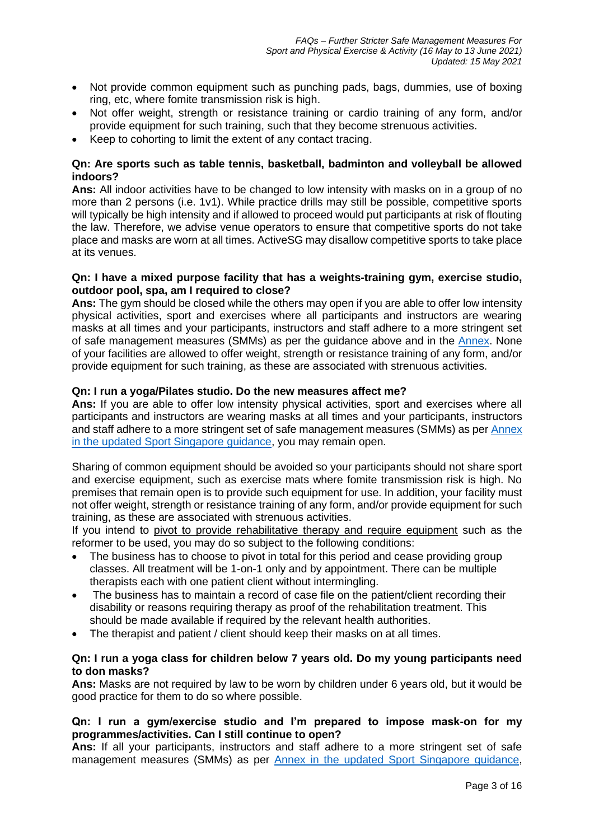- Not provide common equipment such as punching pads, bags, dummies, use of boxing ring, etc, where fomite transmission risk is high.
- Not offer weight, strength or resistance training or cardio training of any form, and/or provide equipment for such training, such that they become strenuous activities.
- Keep to cohorting to limit the extent of any contact tracing.

# **Qn: Are sports such as table tennis, basketball, badminton and volleyball be allowed indoors?**

**Ans:** All indoor activities have to be changed to low intensity with masks on in a group of no more than 2 persons (i.e. 1v1). While practice drills may still be possible, competitive sports will typically be high intensity and if allowed to proceed would put participants at risk of flouting the law. Therefore, we advise venue operators to ensure that competitive sports do not take place and masks are worn at all times. ActiveSG may disallow competitive sports to take place at its venues.

# **Qn: I have a mixed purpose facility that has a weights-training gym, exercise studio, outdoor pool, spa, am I required to close?**

**Ans:** The gym should be closed while the others may open if you are able to offer low intensity physical activities, sport and exercises where all participants and instructors are wearing masks at all times and your participants, instructors and staff adhere to a more stringent set of safe management measures (SMMs) as per the guidance above and in the [Annex.](https://go.gov.sg/furtherstrictersmm16mayto13june2021) None of your facilities are allowed to offer weight, strength or resistance training of any form, and/or provide equipment for such training, as these are associated with strenuous activities.

# **Qn: I run a yoga/Pilates studio. Do the new measures affect me?**

**Ans:** If you are able to offer low intensity physical activities, sport and exercises where all participants and instructors are wearing masks at all times and your participants, instructors and staff adhere to a more stringent set of safe management measures (SMMs) as per [Annex](https://go.gov.sg/furtherstrictersmm16mayto13june2021)  [in the updated Sport Singapore guidance,](https://go.gov.sg/furtherstrictersmm16mayto13june2021) you may remain open.

Sharing of common equipment should be avoided so your participants should not share sport and exercise equipment, such as exercise mats where fomite transmission risk is high. No premises that remain open is to provide such equipment for use. In addition, your facility must not offer weight, strength or resistance training of any form, and/or provide equipment for such training, as these are associated with strenuous activities.

If you intend to pivot to provide rehabilitative therapy and require equipment such as the reformer to be used, you may do so subject to the following conditions:

- The business has to choose to pivot in total for this period and cease providing group classes. All treatment will be 1-on-1 only and by appointment. There can be multiple therapists each with one patient client without intermingling.
- The business has to maintain a record of case file on the patient/client recording their disability or reasons requiring therapy as proof of the rehabilitation treatment. This should be made available if required by the relevant health authorities.
- The therapist and patient / client should keep their masks on at all times.

# **Qn: I run a yoga class for children below 7 years old. Do my young participants need to don masks?**

**Ans:** Masks are not required by law to be worn by children under 6 years old, but it would be good practice for them to do so where possible.

# **Qn: I run a gym/exercise studio and I'm prepared to impose mask-on for my programmes/activities. Can I still continue to open?**

**Ans:** If all your participants, instructors and staff adhere to a more stringent set of safe management measures (SMMs) as per [Annex in the updated Sport Singapore guidance,](https://go.gov.sg/furtherstrictersmm16mayto13june2021)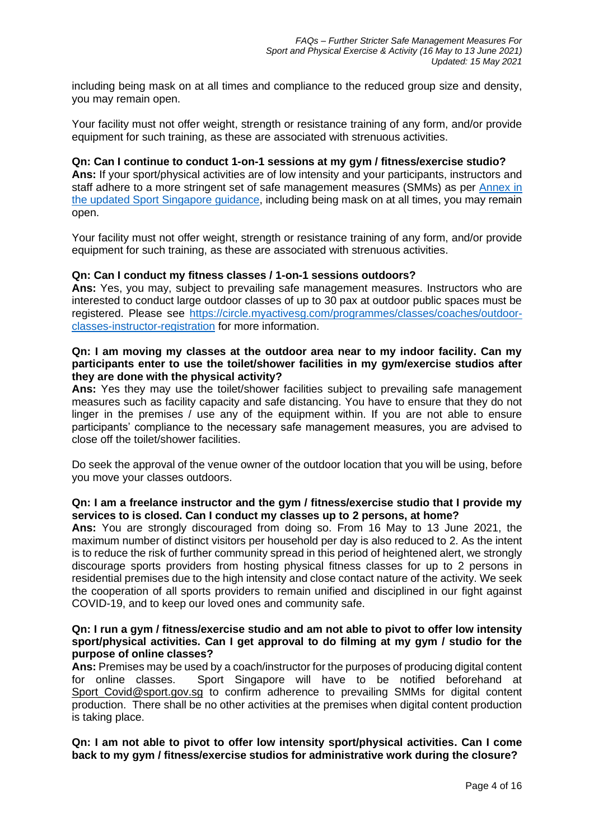including being mask on at all times and compliance to the reduced group size and density, you may remain open.

Your facility must not offer weight, strength or resistance training of any form, and/or provide equipment for such training, as these are associated with strenuous activities.

#### **Qn: Can I continue to conduct 1-on-1 sessions at my gym / fitness/exercise studio?**

**Ans:** If your sport/physical activities are of low intensity and your participants, instructors and staff adhere to a more stringent set of safe management measures (SMMs) as per [Annex in](https://go.gov.sg/furtherstrictersmm16mayto13june2021)  [the updated Sport Singapore guidance,](https://go.gov.sg/furtherstrictersmm16mayto13june2021) including being mask on at all times, you may remain open.

Your facility must not offer weight, strength or resistance training of any form, and/or provide equipment for such training, as these are associated with strenuous activities.

#### **Qn: Can I conduct my fitness classes / 1-on-1 sessions outdoors?**

**Ans:** Yes, you may, subject to prevailing safe management measures. Instructors who are interested to conduct large outdoor classes of up to 30 pax at outdoor public spaces must be registered. Please see [https://circle.myactivesg.com/programmes/classes/coaches/outdoor](https://circle.myactivesg.com/programmes/classes/coaches/outdoor-classes-instructor-registration)[classes-instructor-registration](https://circle.myactivesg.com/programmes/classes/coaches/outdoor-classes-instructor-registration) for more information.

### **Qn: I am moving my classes at the outdoor area near to my indoor facility. Can my participants enter to use the toilet/shower facilities in my gym/exercise studios after they are done with the physical activity?**

**Ans:** Yes they may use the toilet/shower facilities subject to prevailing safe management measures such as facility capacity and safe distancing. You have to ensure that they do not linger in the premises / use any of the equipment within. If you are not able to ensure participants' compliance to the necessary safe management measures, you are advised to close off the toilet/shower facilities.

Do seek the approval of the venue owner of the outdoor location that you will be using, before you move your classes outdoors.

### **Qn: I am a freelance instructor and the gym / fitness/exercise studio that I provide my services to is closed. Can I conduct my classes up to 2 persons, at home?**

**Ans:** You are strongly discouraged from doing so. From 16 May to 13 June 2021, the maximum number of distinct visitors per household per day is also reduced to 2. As the intent is to reduce the risk of further community spread in this period of heightened alert, we strongly discourage sports providers from hosting physical fitness classes for up to 2 persons in residential premises due to the high intensity and close contact nature of the activity. We seek the cooperation of all sports providers to remain unified and disciplined in our fight against COVID-19, and to keep our loved ones and community safe.

### **Qn: I run a gym / fitness/exercise studio and am not able to pivot to offer low intensity sport/physical activities. Can I get approval to do filming at my gym / studio for the purpose of online classes?**

**Ans:** Premises may be used by a coach/instructor for the purposes of producing digital content for online classes. Sport Singapore will have to be notified beforehand at Sport Covid@sport.gov.sg to confirm adherence to prevailing SMMs for digital content production. There shall be no other activities at the premises when digital content production is taking place.

**Qn: I am not able to pivot to offer low intensity sport/physical activities. Can I come back to my gym / fitness/exercise studios for administrative work during the closure?**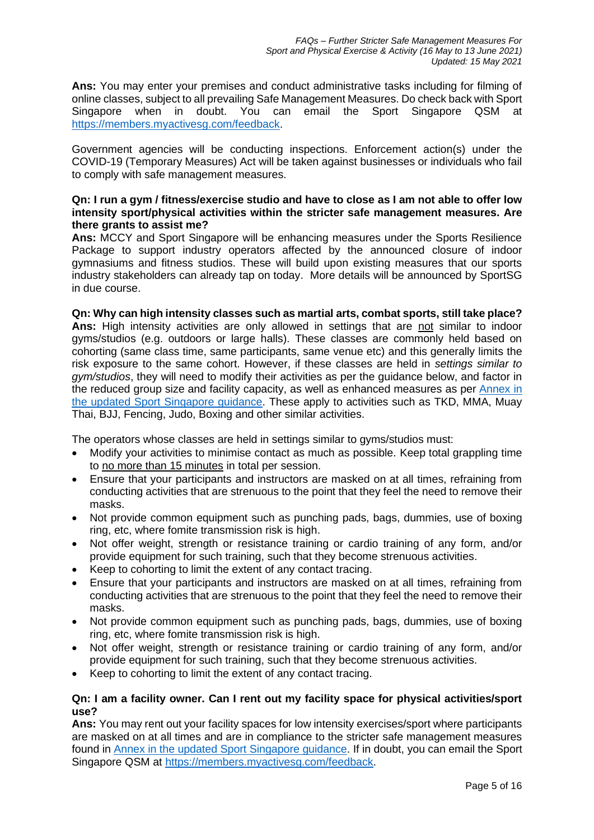**Ans:** You may enter your premises and conduct administrative tasks including for filming of online classes, subject to all prevailing Safe Management Measures. Do check back with Sport Singapore when in doubt. You can email the Sport Singapore QSM at [https://members.myactivesg.com/feedback.](https://members.myactivesg.com/feedback)

Government agencies will be conducting inspections. Enforcement action(s) under the COVID-19 (Temporary Measures) Act will be taken against businesses or individuals who fail to comply with safe management measures.

# **Qn: I run a gym / fitness/exercise studio and have to close as I am not able to offer low intensity sport/physical activities within the stricter safe management measures. Are there grants to assist me?**

**Ans:** MCCY and Sport Singapore will be enhancing measures under the Sports Resilience Package to support industry operators affected by the announced closure of indoor gymnasiums and fitness studios. These will build upon existing measures that our sports industry stakeholders can already tap on today. More details will be announced by SportSG in due course.

**Qn: Why can high intensity classes such as martial arts, combat sports, still take place? Ans:** High intensity activities are only allowed in settings that are not similar to indoor gyms/studios (e.g. outdoors or large halls). These classes are commonly held based on cohorting (same class time, same participants, same venue etc) and this generally limits the risk exposure to the same cohort. However, if these classes are held in *settings similar to gym/studios*, they will need to modify their activities as per the guidance below, and factor in the reduced group size and facility capacity, as well as enhanced measures as per [Annex in](https://go.gov.sg/furtherstrictersmm16mayto13june2021)  [the updated Sport Singapore guidance.](https://go.gov.sg/furtherstrictersmm16mayto13june2021) These apply to activities such as TKD, MMA, Muay Thai, BJJ, Fencing, Judo, Boxing and other similar activities.

The operators whose classes are held in settings similar to gyms/studios must:

- Modify your activities to minimise contact as much as possible. Keep total grappling time to no more than 15 minutes in total per session.
- Ensure that your participants and instructors are masked on at all times, refraining from conducting activities that are strenuous to the point that they feel the need to remove their masks.
- Not provide common equipment such as punching pads, bags, dummies, use of boxing ring, etc, where fomite transmission risk is high.
- Not offer weight, strength or resistance training or cardio training of any form, and/or provide equipment for such training, such that they become strenuous activities.
- Keep to cohorting to limit the extent of any contact tracing.
- Ensure that your participants and instructors are masked on at all times, refraining from conducting activities that are strenuous to the point that they feel the need to remove their masks.
- Not provide common equipment such as punching pads, bags, dummies, use of boxing ring, etc, where fomite transmission risk is high.
- Not offer weight, strength or resistance training or cardio training of any form, and/or provide equipment for such training, such that they become strenuous activities.
- Keep to cohorting to limit the extent of any contact tracing.

# **Qn: I am a facility owner. Can I rent out my facility space for physical activities/sport use?**

**Ans:** You may rent out your facility spaces for low intensity exercises/sport where participants are masked on at all times and are in compliance to the stricter safe management measures found in [Annex in the updated Sport Singapore guidance.](https://go.gov.sg/furtherstrictersmm16mayto13june2021) If in doubt, you can email the Sport Singapore QSM at [https://members.myactivesg.com/feedback.](https://members.myactivesg.com/feedback)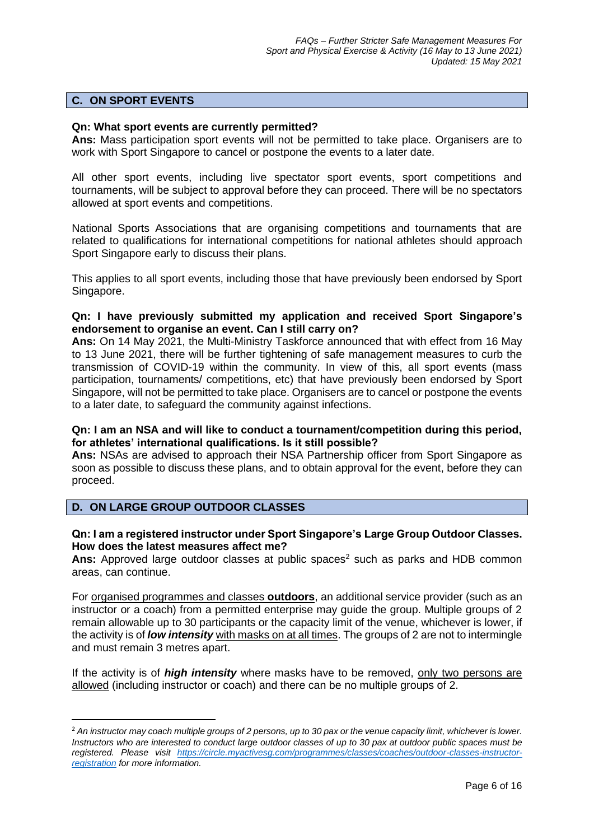### **C. ON SPORT EVENTS**

#### **Qn: What sport events are currently permitted?**

**Ans:** Mass participation sport events will not be permitted to take place. Organisers are to work with Sport Singapore to cancel or postpone the events to a later date.

All other sport events, including live spectator sport events, sport competitions and tournaments, will be subject to approval before they can proceed. There will be no spectators allowed at sport events and competitions.

National Sports Associations that are organising competitions and tournaments that are related to qualifications for international competitions for national athletes should approach Sport Singapore early to discuss their plans.

This applies to all sport events, including those that have previously been endorsed by Sport Singapore.

# **Qn: I have previously submitted my application and received Sport Singapore's endorsement to organise an event. Can I still carry on?**

**Ans:** On 14 May 2021, the Multi-Ministry Taskforce announced that with effect from 16 May to 13 June 2021, there will be further tightening of safe management measures to curb the transmission of COVID-19 within the community. In view of this, all sport events (mass participation, tournaments/ competitions, etc) that have previously been endorsed by Sport Singapore, will not be permitted to take place. Organisers are to cancel or postpone the events to a later date, to safeguard the community against infections.

# **Qn: I am an NSA and will like to conduct a tournament/competition during this period, for athletes' international qualifications. Is it still possible?**

**Ans:** NSAs are advised to approach their NSA Partnership officer from Sport Singapore as soon as possible to discuss these plans, and to obtain approval for the event, before they can proceed.

**D. ON LARGE GROUP OUTDOOR CLASSES**

# **Qn: I am a registered instructor under Sport Singapore's Large Group Outdoor Classes. How does the latest measures affect me?**

Ans: Approved large outdoor classes at public spaces<sup>2</sup> such as parks and HDB common areas, can continue.

For organised programmes and classes **outdoors**, an additional service provider (such as an instructor or a coach) from a permitted enterprise may guide the group. Multiple groups of 2 remain allowable up to 30 participants or the capacity limit of the venue, whichever is lower, if the activity is of *low intensity* with masks on at all times. The groups of 2 are not to intermingle and must remain 3 metres apart.

If the activity is of *high intensity* where masks have to be removed, only two persons are allowed (including instructor or coach) and there can be no multiple groups of 2.

<sup>2</sup> *An instructor may coach multiple groups of 2 persons, up to 30 pax or the venue capacity limit, whichever is lower. Instructors who are interested to conduct large outdoor classes of up to 30 pax at outdoor public spaces must be registered. Please visit [https://circle.myactivesg.com/programmes/classes/coaches/outdoor-classes-instructor](https://circle.myactivesg.com/programmes/classes/coaches/outdoor-classes-instructor-registration)[registration](https://circle.myactivesg.com/programmes/classes/coaches/outdoor-classes-instructor-registration) for more information.*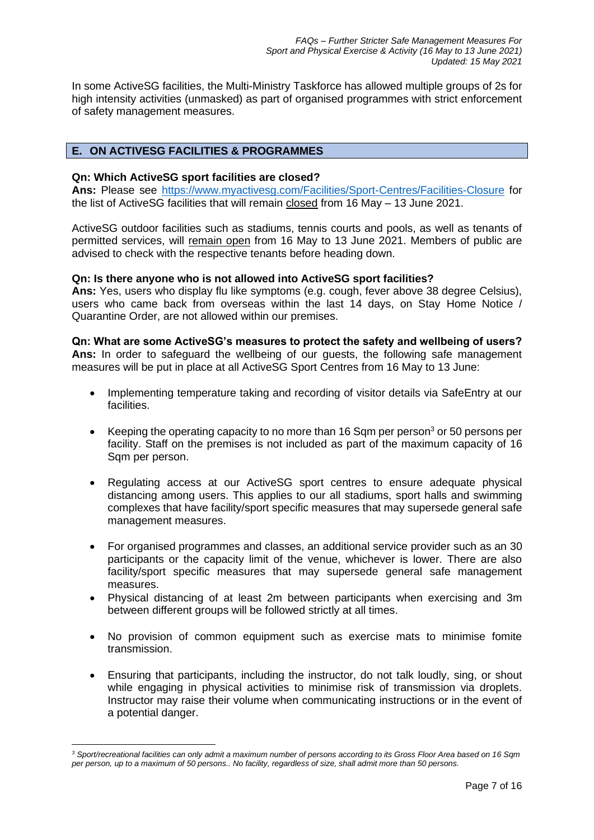In some ActiveSG facilities, the Multi-Ministry Taskforce has allowed multiple groups of 2s for high intensity activities (unmasked) as part of organised programmes with strict enforcement of safety management measures.

# **E. ON ACTIVESG FACILITIES & PROGRAMMES**

### **Qn: Which ActiveSG sport facilities are closed?**

Ans: Please see<https://www.myactivesg.com/Facilities/Sport-Centres/Facilities-Closure> for the list of ActiveSG facilities that will remain closed from 16 May – 13 June 2021.

ActiveSG outdoor facilities such as stadiums, tennis courts and pools, as well as tenants of permitted services, will remain open from 16 May to 13 June 2021. Members of public are advised to check with the respective tenants before heading down.

#### **Qn: Is there anyone who is not allowed into ActiveSG sport facilities?**

**Ans:** Yes, users who display flu like symptoms (e.g. cough, fever above 38 degree Celsius), users who came back from overseas within the last 14 days, on Stay Home Notice / Quarantine Order, are not allowed within our premises.

### **Qn: What are some ActiveSG's measures to protect the safety and wellbeing of users?**

**Ans:** In order to safeguard the wellbeing of our guests, the following safe management measures will be put in place at all ActiveSG Sport Centres from 16 May to 13 June:

- Implementing temperature taking and recording of visitor details via SafeEntry at our facilities.
- Keeping the operating capacity to no more than 16 Sqm per person<sup>3</sup> or 50 persons per facility. Staff on the premises is not included as part of the maximum capacity of 16 Sqm per person.
- Regulating access at our ActiveSG sport centres to ensure adequate physical distancing among users. This applies to our all stadiums, sport halls and swimming complexes that have facility/sport specific measures that may supersede general safe management measures.
- For organised programmes and classes, an additional service provider such as an 30 participants or the capacity limit of the venue, whichever is lower. There are also facility/sport specific measures that may supersede general safe management measures.
- Physical distancing of at least 2m between participants when exercising and 3m between different groups will be followed strictly at all times.
- No provision of common equipment such as exercise mats to minimise fomite transmission.
- Ensuring that participants, including the instructor, do not talk loudly, sing, or shout while engaging in physical activities to minimise risk of transmission via droplets. Instructor may raise their volume when communicating instructions or in the event of a potential danger.

*<sup>3</sup> Sport/recreational facilities can only admit a maximum number of persons according to its Gross Floor Area based on 16 Sqm per person, up to a maximum of 50 persons.. No facility, regardless of size, shall admit more than 50 persons.*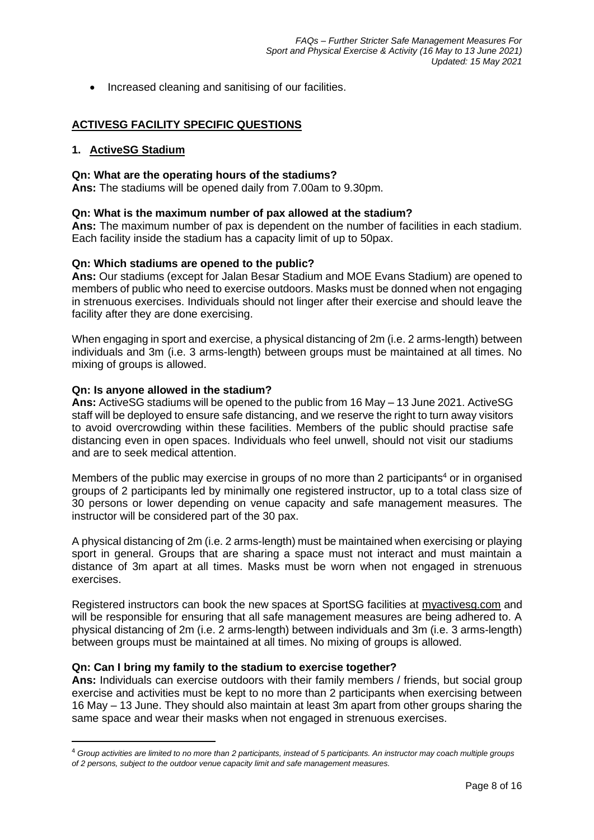• Increased cleaning and sanitising of our facilities.

# **ACTIVESG FACILITY SPECIFIC QUESTIONS**

#### **1. ActiveSG Stadium**

#### **Qn: What are the operating hours of the stadiums?**

**Ans:** The stadiums will be opened daily from 7.00am to 9.30pm.

#### **Qn: What is the maximum number of pax allowed at the stadium?**

**Ans:** The maximum number of pax is dependent on the number of facilities in each stadium. Each facility inside the stadium has a capacity limit of up to 50pax.

#### **Qn: Which stadiums are opened to the public?**

**Ans:** Our stadiums (except for Jalan Besar Stadium and MOE Evans Stadium) are opened to members of public who need to exercise outdoors. Masks must be donned when not engaging in strenuous exercises. Individuals should not linger after their exercise and should leave the facility after they are done exercising.

When engaging in sport and exercise, a physical distancing of 2m (i.e. 2 arms-length) between individuals and 3m (i.e. 3 arms-length) between groups must be maintained at all times. No mixing of groups is allowed.

#### **Qn: Is anyone allowed in the stadium?**

**Ans:** ActiveSG stadiums will be opened to the public from 16 May – 13 June 2021. ActiveSG staff will be deployed to ensure safe distancing, and we reserve the right to turn away visitors to avoid overcrowding within these facilities. Members of the public should practise safe distancing even in open spaces. Individuals who feel unwell, should not visit our stadiums and are to seek medical attention.

Members of the public may exercise in groups of no more than 2 participants<sup>4</sup> or in organised groups of 2 participants led by minimally one registered instructor, up to a total class size of 30 persons or lower depending on venue capacity and safe management measures. The instructor will be considered part of the 30 pax.

A physical distancing of 2m (i.e. 2 arms-length) must be maintained when exercising or playing sport in general. Groups that are sharing a space must not interact and must maintain a distance of 3m apart at all times. Masks must be worn when not engaged in strenuous exercises.

Registered instructors can book the new spaces at SportSG facilities at [myactivesg.com](https://www.myactivesg.com/) and will be responsible for ensuring that all safe management measures are being adhered to. A physical distancing of 2m (i.e. 2 arms-length) between individuals and 3m (i.e. 3 arms-length) between groups must be maintained at all times. No mixing of groups is allowed.

#### **Qn: Can I bring my family to the stadium to exercise together?**

**Ans:** Individuals can exercise outdoors with their family members / friends, but social group exercise and activities must be kept to no more than 2 participants when exercising between 16 May – 13 June. They should also maintain at least 3m apart from other groups sharing the same space and wear their masks when not engaged in strenuous exercises.

<sup>4</sup> *Group activities are limited to no more than 2 participants, instead of 5 participants. An instructor may coach multiple groups of 2 persons, subject to the outdoor venue capacity limit and safe management measures.*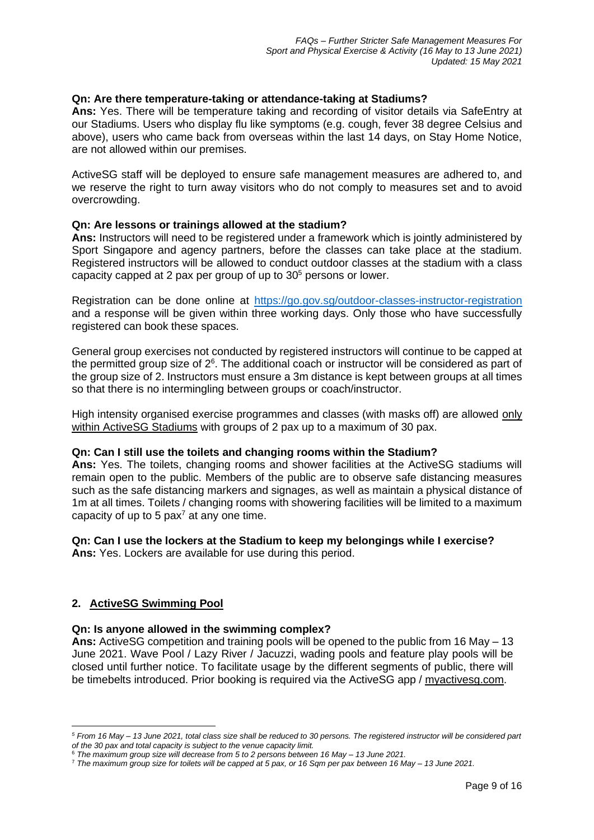# **Qn: Are there temperature-taking or attendance-taking at Stadiums?**

**Ans:** Yes. There will be temperature taking and recording of visitor details via SafeEntry at our Stadiums. Users who display flu like symptoms (e.g. cough, fever 38 degree Celsius and above), users who came back from overseas within the last 14 days, on Stay Home Notice, are not allowed within our premises.

ActiveSG staff will be deployed to ensure safe management measures are adhered to, and we reserve the right to turn away visitors who do not comply to measures set and to avoid overcrowding.

### **Qn: Are lessons or trainings allowed at the stadium?**

**Ans:** Instructors will need to be registered under a framework which is jointly administered by Sport Singapore and agency partners, before the classes can take place at the stadium. Registered instructors will be allowed to conduct outdoor classes at the stadium with a class capacity capped at 2 pax per group of up to  $30<sup>5</sup>$  persons or lower.

Registration can be done online at <https://go.gov.sg/outdoor-classes-instructor-registration> and a response will be given within three working days. Only those who have successfully registered can book these spaces.

General group exercises not conducted by registered instructors will continue to be capped at the permitted group size of  $2<sup>6</sup>$ . The additional coach or instructor will be considered as part of the group size of 2. Instructors must ensure a 3m distance is kept between groups at all times so that there is no intermingling between groups or coach/instructor.

High intensity organised exercise programmes and classes (with masks off) are allowed only within ActiveSG Stadiums with groups of 2 pax up to a maximum of 30 pax.

### **Qn: Can I still use the toilets and changing rooms within the Stadium?**

**Ans:** Yes. The toilets, changing rooms and shower facilities at the ActiveSG stadiums will remain open to the public. Members of the public are to observe safe distancing measures such as the safe distancing markers and signages, as well as maintain a physical distance of 1m at all times. Toilets / changing rooms with showering facilities will be limited to a maximum capacity of up to 5 pax<sup>7</sup> at any one time.

# **Qn: Can I use the lockers at the Stadium to keep my belongings while I exercise?**

**Ans:** Yes. Lockers are available for use during this period.

### **2. ActiveSG Swimming Pool**

### **Qn: Is anyone allowed in the swimming complex?**

**Ans:** ActiveSG competition and training pools will be opened to the public from 16 May – 13 June 2021. Wave Pool / Lazy River / Jacuzzi, wading pools and feature play pools will be closed until further notice. To facilitate usage by the different segments of public, there will be timebelts introduced. Prior booking is required via the ActiveSG app / [myactivesg.com.](https://www.myactivesg.com/)

*<sup>5</sup> From 16 May – 13 June 2021, total class size shall be reduced to 30 persons. The registered instructor will be considered part of the 30 pax and total capacity is subject to the venue capacity limit.*

<sup>6</sup> *The maximum group size will decrease from 5 to 2 persons between 16 May – 13 June 2021.*

<sup>7</sup> *The maximum group size for toilets will be capped at 5 pax, or 16 Sqm per pax between 16 May – 13 June 2021.*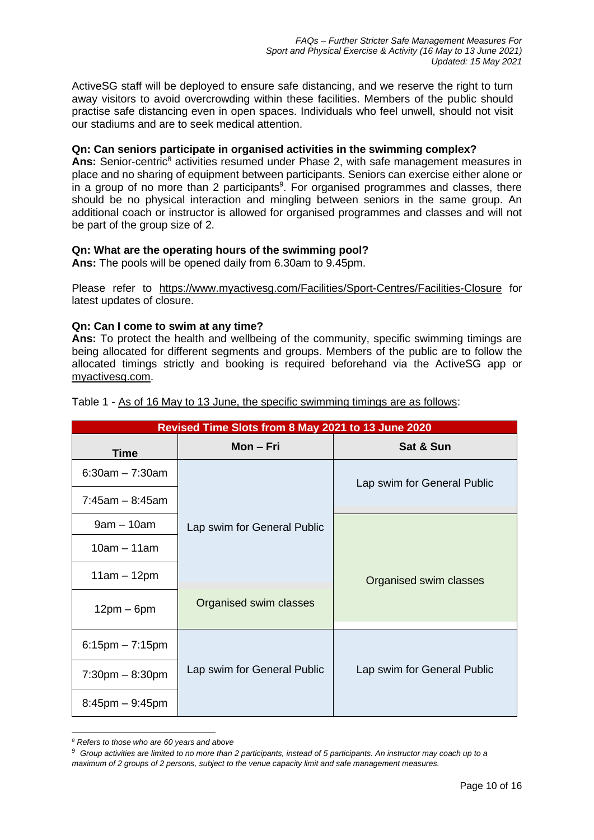ActiveSG staff will be deployed to ensure safe distancing, and we reserve the right to turn away visitors to avoid overcrowding within these facilities. Members of the public should practise safe distancing even in open spaces. Individuals who feel unwell, should not visit our stadiums and are to seek medical attention.

### **Qn: Can seniors participate in organised activities in the swimming complex?**

Ans: Senior-centric<sup>8</sup> activities resumed under Phase 2, with safe management measures in place and no sharing of equipment between participants. Seniors can exercise either alone or in a group of no more than 2 participants<sup>9</sup>. For organised programmes and classes, there should be no physical interaction and mingling between seniors in the same group. An additional coach or instructor is allowed for organised programmes and classes and will not be part of the group size of 2.

# **Qn: What are the operating hours of the swimming pool?**

**Ans:** The pools will be opened daily from 6.30am to 9.45pm.

Please refer to <https://www.myactivesg.com/Facilities/Sport-Centres/Facilities-Closure> for latest updates of closure.

# **Qn: Can I come to swim at any time?**

**Ans:** To protect the health and wellbeing of the community, specific swimming timings are being allocated for different segments and groups. Members of the public are to follow the allocated timings strictly and booking is required beforehand via the ActiveSG app or [myactivesg.com.](https://www.myactivesg.com/)

| Revised Time Slots from 8 May 2021 to 13 June 2020 |                             |                             |
|----------------------------------------------------|-----------------------------|-----------------------------|
| Time                                               | Mon – Fri                   | Sat & Sun                   |
| $6:30am - 7:30am$                                  |                             | Lap swim for General Public |
| $7:45am - 8:45am$                                  |                             |                             |
| $9am - 10am$                                       | Lap swim for General Public |                             |
| $10am - 11am$                                      |                             |                             |
| $11am - 12pm$                                      |                             | Organised swim classes      |
| $12pm - 6pm$                                       | Organised swim classes      |                             |
| $6:15$ pm $-7:15$ pm                               |                             |                             |
| $7:30 \text{pm} - 8:30 \text{pm}$                  | Lap swim for General Public | Lap swim for General Public |
| $8:45$ pm $-9:45$ pm                               |                             |                             |

Table 1 - As of 16 May to 13 June, the specific swimming timings are as follows:

*<sup>8</sup> Refers to those who are 60 years and above*

<sup>9</sup> *Group activities are limited to no more than 2 participants, instead of 5 participants. An instructor may coach up to a* 

*maximum of 2 groups of 2 persons, subject to the venue capacity limit and safe management measures.*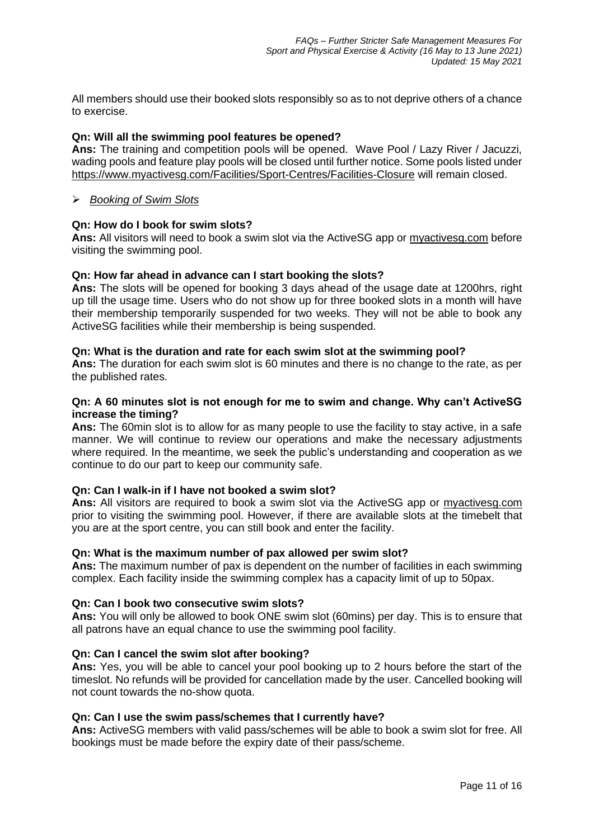All members should use their booked slots responsibly so as to not deprive others of a chance to exercise.

# **Qn: Will all the swimming pool features be opened?**

**Ans:** The training and competition pools will be opened. Wave Pool / Lazy River / Jacuzzi, wading pools and feature play pools will be closed until further notice. Some pools listed under <https://www.myactivesg.com/Facilities/Sport-Centres/Facilities-Closure> will remain closed.

# ➢ *Booking of Swim Slots*

# **Qn: How do I book for swim slots?**

**Ans:** All visitors will need to book a swim slot via the ActiveSG app or [myactivesg.com](https://www.myactivesg.com/) before visiting the swimming pool.

# **Qn: How far ahead in advance can I start booking the slots?**

**Ans:** The slots will be opened for booking 3 days ahead of the usage date at 1200hrs, right up till the usage time. Users who do not show up for three booked slots in a month will have their membership temporarily suspended for two weeks. They will not be able to book any ActiveSG facilities while their membership is being suspended.

### **Qn: What is the duration and rate for each swim slot at the swimming pool?**

**Ans:** The duration for each swim slot is 60 minutes and there is no change to the rate, as per the published rates.

### **Qn: A 60 minutes slot is not enough for me to swim and change. Why can't ActiveSG increase the timing?**

**Ans:** The 60min slot is to allow for as many people to use the facility to stay active, in a safe manner. We will continue to review our operations and make the necessary adjustments where required. In the meantime, we seek the public's understanding and cooperation as we continue to do our part to keep our community safe.

### **Qn: Can I walk-in if I have not booked a swim slot?**

**Ans:** All visitors are required to book a swim slot via the ActiveSG app or [myactivesg.com](https://www.myactivesg.com/) prior to visiting the swimming pool. However, if there are available slots at the timebelt that you are at the sport centre, you can still book and enter the facility.

### **Qn: What is the maximum number of pax allowed per swim slot?**

**Ans:** The maximum number of pax is dependent on the number of facilities in each swimming complex. Each facility inside the swimming complex has a capacity limit of up to 50pax.

### **Qn: Can I book two consecutive swim slots?**

**Ans:** You will only be allowed to book ONE swim slot (60mins) per day. This is to ensure that all patrons have an equal chance to use the swimming pool facility.

### **Qn: Can I cancel the swim slot after booking?**

**Ans:** Yes, you will be able to cancel your pool booking up to 2 hours before the start of the timeslot. No refunds will be provided for cancellation made by the user. Cancelled booking will not count towards the no-show quota.

### **Qn: Can I use the swim pass/schemes that I currently have?**

**Ans:** ActiveSG members with valid pass/schemes will be able to book a swim slot for free. All bookings must be made before the expiry date of their pass/scheme.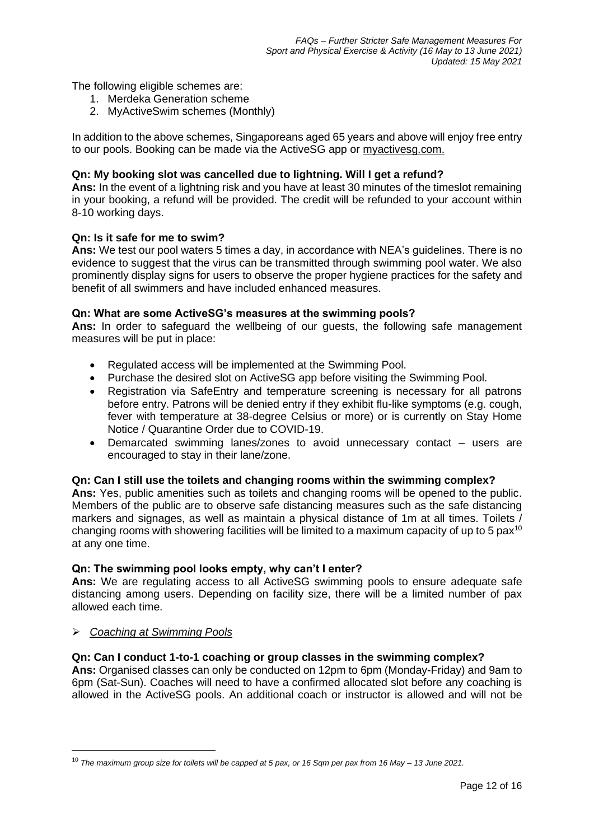The following eligible schemes are:

- 1. Merdeka Generation scheme
- 2. MyActiveSwim schemes (Monthly)

In addition to the above schemes, Singaporeans aged 65 years and above will enjoy free entry to our pools. Booking can be made via the ActiveSG app or [myactivesg.com.](https://www.myactivesg.com/)

# **Qn: My booking slot was cancelled due to lightning. Will I get a refund?**

**Ans:** In the event of a lightning risk and you have at least 30 minutes of the timeslot remaining in your booking, a refund will be provided. The credit will be refunded to your account within 8-10 working days.

### **Qn: Is it safe for me to swim?**

**Ans:** We test our pool waters 5 times a day, in accordance with NEA's guidelines. There is no evidence to suggest that the virus can be transmitted through swimming pool water. We also prominently display signs for users to observe the proper hygiene practices for the safety and benefit of all swimmers and have included enhanced measures.

# **Qn: What are some ActiveSG's measures at the swimming pools?**

**Ans:** In order to safeguard the wellbeing of our guests, the following safe management measures will be put in place:

- Regulated access will be implemented at the Swimming Pool.
- Purchase the desired slot on ActiveSG app before visiting the Swimming Pool.
- Registration via SafeEntry and temperature screening is necessary for all patrons before entry. Patrons will be denied entry if they exhibit flu-like symptoms (e.g. cough, fever with temperature at 38-degree Celsius or more) or is currently on Stay Home Notice / Quarantine Order due to COVID-19.
- Demarcated swimming lanes/zones to avoid unnecessary contact users are encouraged to stay in their lane/zone.

### **Qn: Can I still use the toilets and changing rooms within the swimming complex?**

**Ans:** Yes, public amenities such as toilets and changing rooms will be opened to the public. Members of the public are to observe safe distancing measures such as the safe distancing markers and signages, as well as maintain a physical distance of 1m at all times. Toilets / changing rooms with showering facilities will be limited to a maximum capacity of up to 5 pax<sup>10</sup> at any one time.

### **Qn: The swimming pool looks empty, why can't I enter?**

**Ans:** We are regulating access to all ActiveSG swimming pools to ensure adequate safe distancing among users. Depending on facility size, there will be a limited number of pax allowed each time.

### ➢ *Coaching at Swimming Pools*

# **Qn: Can I conduct 1-to-1 coaching or group classes in the swimming complex?**

**Ans:** Organised classes can only be conducted on 12pm to 6pm (Monday-Friday) and 9am to 6pm (Sat-Sun). Coaches will need to have a confirmed allocated slot before any coaching is allowed in the ActiveSG pools. An additional coach or instructor is allowed and will not be

<sup>10</sup> *The maximum group size for toilets will be capped at 5 pax, or 16 Sqm per pax from 16 May – 13 June 2021.*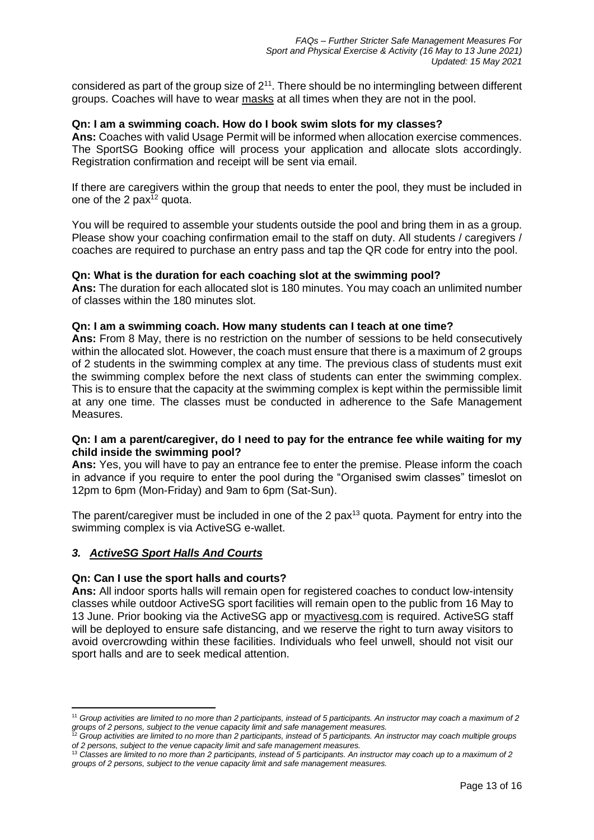considered as part of the group size of  $2^{11}$ . There should be no intermingling between different groups. Coaches will have to wear masks at all times when they are not in the pool.

#### **Qn: I am a swimming coach. How do I book swim slots for my classes?**

**Ans:** Coaches with valid Usage Permit will be informed when allocation exercise commences. The SportSG Booking office will process your application and allocate slots accordingly. Registration confirmation and receipt will be sent via email.

If there are caregivers within the group that needs to enter the pool, they must be included in one of the 2  $\text{pax}^{\text{12}}$  quota.

You will be required to assemble your students outside the pool and bring them in as a group. Please show your coaching confirmation email to the staff on duty. All students / caregivers / coaches are required to purchase an entry pass and tap the QR code for entry into the pool.

#### **Qn: What is the duration for each coaching slot at the swimming pool?**

**Ans:** The duration for each allocated slot is 180 minutes. You may coach an unlimited number of classes within the 180 minutes slot.

#### **Qn: I am a swimming coach. How many students can I teach at one time?**

**Ans:** From 8 May, there is no restriction on the number of sessions to be held consecutively within the allocated slot. However, the coach must ensure that there is a maximum of 2 groups of 2 students in the swimming complex at any time. The previous class of students must exit the swimming complex before the next class of students can enter the swimming complex. This is to ensure that the capacity at the swimming complex is kept within the permissible limit at any one time. The classes must be conducted in adherence to the Safe Management Measures.

### **Qn: I am a parent/caregiver, do I need to pay for the entrance fee while waiting for my child inside the swimming pool?**

**Ans:** Yes, you will have to pay an entrance fee to enter the premise. Please inform the coach in advance if you require to enter the pool during the "Organised swim classes" timeslot on 12pm to 6pm (Mon-Friday) and 9am to 6pm (Sat-Sun).

The parent/caregiver must be included in one of the 2 pax<sup>13</sup> quota. Payment for entry into the swimming complex is via ActiveSG e-wallet.

### *3. ActiveSG Sport Halls And Courts*

#### **Qn: Can I use the sport halls and courts?**

**Ans:** All indoor sports halls will remain open for registered coaches to conduct low-intensity classes while outdoor ActiveSG sport facilities will remain open to the public from 16 May to 13 June. Prior booking via the ActiveSG app or [myactivesg.com](https://www.myactivesg.com/) is required. ActiveSG staff will be deployed to ensure safe distancing, and we reserve the right to turn away visitors to avoid overcrowding within these facilities. Individuals who feel unwell, should not visit our sport halls and are to seek medical attention.

<sup>11</sup> *Group activities are limited to no more than 2 participants, instead of 5 participants. An instructor may coach a maximum of 2 groups of 2 persons, subject to the venue capacity limit and safe management measures.*

<sup>12</sup> *Group activities are limited to no more than 2 participants, instead of 5 participants. An instructor may coach multiple groups of 2 persons, subject to the venue capacity limit and safe management measures.*

<sup>13</sup> *Classes are limited to no more than 2 participants, instead of 5 participants. An instructor may coach up to a maximum of 2 groups of 2 persons, subject to the venue capacity limit and safe management measures.*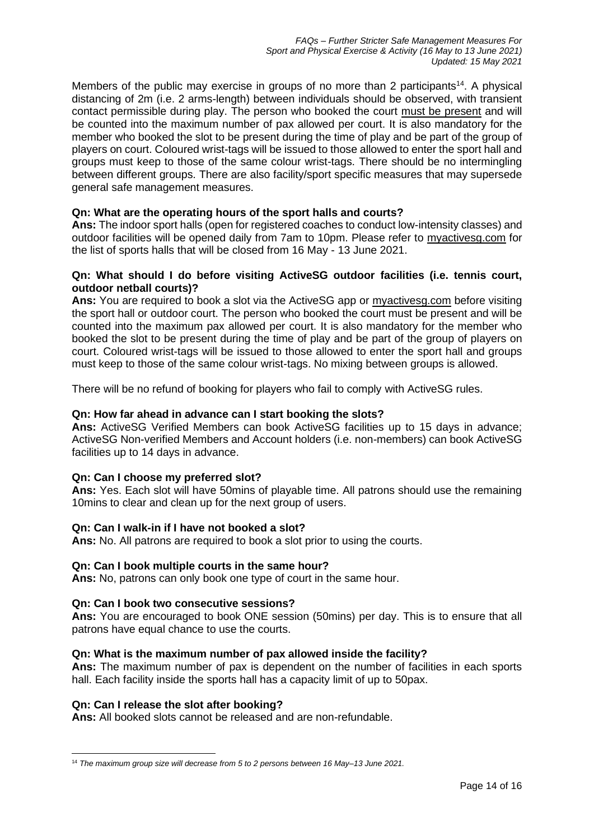Members of the public may exercise in groups of no more than 2 participants<sup>14</sup>. A physical distancing of 2m (i.e. 2 arms-length) between individuals should be observed, with transient contact permissible during play. The person who booked the court must be present and will be counted into the maximum number of pax allowed per court. It is also mandatory for the member who booked the slot to be present during the time of play and be part of the group of players on court. Coloured wrist-tags will be issued to those allowed to enter the sport hall and groups must keep to those of the same colour wrist-tags. There should be no intermingling between different groups. There are also facility/sport specific measures that may supersede general safe management measures.

# **Qn: What are the operating hours of the sport halls and courts?**

**Ans:** The indoor sport halls (open for registered coaches to conduct low-intensity classes) and outdoor facilities will be opened daily from 7am to 10pm. Please refer to [myactivesg.com](https://www.myactivesg.com/) for the list of sports halls that will be closed from 16 May - 13 June 2021.

### **Qn: What should I do before visiting ActiveSG outdoor facilities (i.e. tennis court, outdoor netball courts)?**

**Ans:** You are required to book a slot via the ActiveSG app or [myactivesg.com](https://www.myactivesg.com/) before visiting the sport hall or outdoor court. The person who booked the court must be present and will be counted into the maximum pax allowed per court. It is also mandatory for the member who booked the slot to be present during the time of play and be part of the group of players on court. Coloured wrist-tags will be issued to those allowed to enter the sport hall and groups must keep to those of the same colour wrist-tags. No mixing between groups is allowed.

There will be no refund of booking for players who fail to comply with ActiveSG rules.

### **Qn: How far ahead in advance can I start booking the slots?**

**Ans:** ActiveSG Verified Members can book ActiveSG facilities up to 15 days in advance; ActiveSG Non-verified Members and Account holders (i.e. non-members) can book ActiveSG facilities up to 14 days in advance.

### **Qn: Can I choose my preferred slot?**

**Ans:** Yes. Each slot will have 50mins of playable time. All patrons should use the remaining 10mins to clear and clean up for the next group of users.

### **Qn: Can I walk-in if I have not booked a slot?**

**Ans:** No. All patrons are required to book a slot prior to using the courts.

### **Qn: Can I book multiple courts in the same hour?**

**Ans:** No, patrons can only book one type of court in the same hour.

### **Qn: Can I book two consecutive sessions?**

**Ans:** You are encouraged to book ONE session (50mins) per day. This is to ensure that all patrons have equal chance to use the courts.

### **Qn: What is the maximum number of pax allowed inside the facility?**

**Ans:** The maximum number of pax is dependent on the number of facilities in each sports hall. Each facility inside the sports hall has a capacity limit of up to 50pax.

### **Qn: Can I release the slot after booking?**

**Ans:** All booked slots cannot be released and are non-refundable.

<sup>14</sup> *The maximum group size will decrease from 5 to 2 persons between 16 May–13 June 2021.*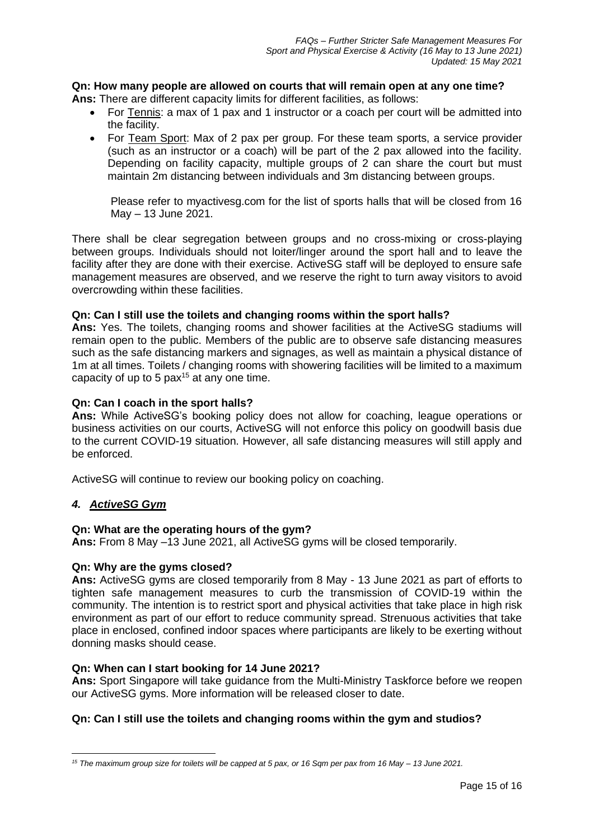# **Qn: How many people are allowed on courts that will remain open at any one time?**

- **Ans:** There are different capacity limits for different facilities, as follows:
	- For Tennis: a max of 1 pax and 1 instructor or a coach per court will be admitted into the facility.
	- For Team Sport: Max of 2 pax per group. For these team sports, a service provider (such as an instructor or a coach) will be part of the 2 pax allowed into the facility. Depending on facility capacity, multiple groups of 2 can share the court but must maintain 2m distancing between individuals and 3m distancing between groups.

Please refer to myactivesg.com for the list of sports halls that will be closed from 16 May – 13 June 2021.

There shall be clear segregation between groups and no cross-mixing or cross-playing between groups. Individuals should not loiter/linger around the sport hall and to leave the facility after they are done with their exercise. ActiveSG staff will be deployed to ensure safe management measures are observed, and we reserve the right to turn away visitors to avoid overcrowding within these facilities.

# **Qn: Can I still use the toilets and changing rooms within the sport halls?**

**Ans:** Yes. The toilets, changing rooms and shower facilities at the ActiveSG stadiums will remain open to the public. Members of the public are to observe safe distancing measures such as the safe distancing markers and signages, as well as maintain a physical distance of 1m at all times. Toilets / changing rooms with showering facilities will be limited to a maximum capacity of up to 5  $\text{pax}^{15}$  at any one time.

# **Qn: Can I coach in the sport halls?**

**Ans:** While ActiveSG's booking policy does not allow for coaching, league operations or business activities on our courts, ActiveSG will not enforce this policy on goodwill basis due to the current COVID-19 situation. However, all safe distancing measures will still apply and be enforced.

ActiveSG will continue to review our booking policy on coaching.

# *4. ActiveSG Gym*

### **Qn: What are the operating hours of the gym?**

**Ans:** From 8 May –13 June 2021, all ActiveSG gyms will be closed temporarily.

### **Qn: Why are the gyms closed?**

**Ans:** ActiveSG gyms are closed temporarily from 8 May - 13 June 2021 as part of efforts to tighten safe management measures to curb the transmission of COVID-19 within the community. The intention is to restrict sport and physical activities that take place in high risk environment as part of our effort to reduce community spread. Strenuous activities that take place in enclosed, confined indoor spaces where participants are likely to be exerting without donning masks should cease.

### **Qn: When can I start booking for 14 June 2021?**

**Ans:** Sport Singapore will take guidance from the Multi-Ministry Taskforce before we reopen our ActiveSG gyms. More information will be released closer to date.

# **Qn: Can I still use the toilets and changing rooms within the gym and studios?**

*<sup>15</sup> The maximum group size for toilets will be capped at 5 pax, or 16 Sqm per pax from 16 May – 13 June 2021.*